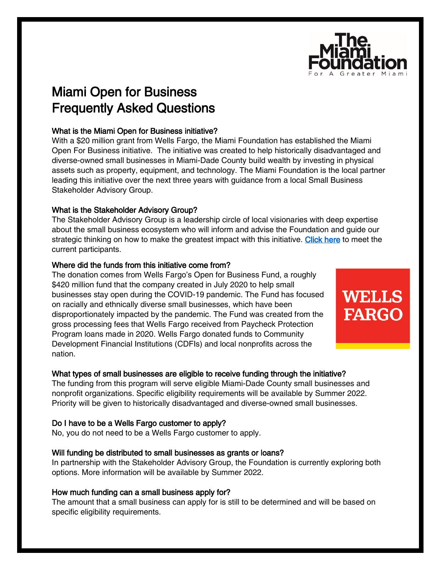

**WELLS** 

**FARGO** 

# Miami Open for Business Frequently Asked Questions

## What is the Miami Open for Business initiative?

With a \$20 million grant from Wells Fargo, the Miami Foundation has established the Miami Open For Business initiative. The initiative was created to help historically disadvantaged and diverse-owned small businesses in Miami-Dade County build wealth by investing in physical assets such as property, equipment, and technology. The Miami Foundation is the local partner leading this initiative over the next three years with guidance from a local Small Business Stakeholder Advisory Group.

## What is the Stakeholder Advisory Group?

The Stakeholder Advisory Group is a leadership circle of local visionaries with deep expertise about the small business ecosystem who will inform and advise the Foundation and guide our strategic thinking on how to make the greatest impact with this initiative. [Click here](https://www.miamifoundation.org/miamiopenforbusiness) to meet the current participants.

## Where did the funds from this initiative come from?

The donation comes from Wells Fargo's Open for Business Fund, a roughly \$420 million fund that the company created in July 2020 to help small businesses stay open during the COVID-19 pandemic. The Fund has focused on racially and ethnically diverse small businesses, which have been disproportionately impacted by the pandemic. The Fund was created from the gross processing fees that Wells Fargo received from Paycheck Protection Program loans made in 2020. Wells Fargo donated funds to Community Development Financial Institutions (CDFIs) and local nonprofits across the nation.

## What types of small businesses are eligible to receive funding through the initiative?

The funding from this program will serve eligible Miami-Dade County small businesses and nonprofit organizations. Specific eligibility requirements will be available by Summer 2022. Priority will be given to historically disadvantaged and diverse-owned small businesses.

## Do I have to be a Wells Fargo customer to apply?

No, you do not need to be a Wells Fargo customer to apply.

## Will funding be distributed to small businesses as grants or loans?

In partnership with the Stakeholder Advisory Group, the Foundation is currently exploring both options. More information will be available by Summer 2022.

## How much funding can a small business apply for?

The amount that a small business can apply for is still to be determined and will be based on specific eligibility requirements.